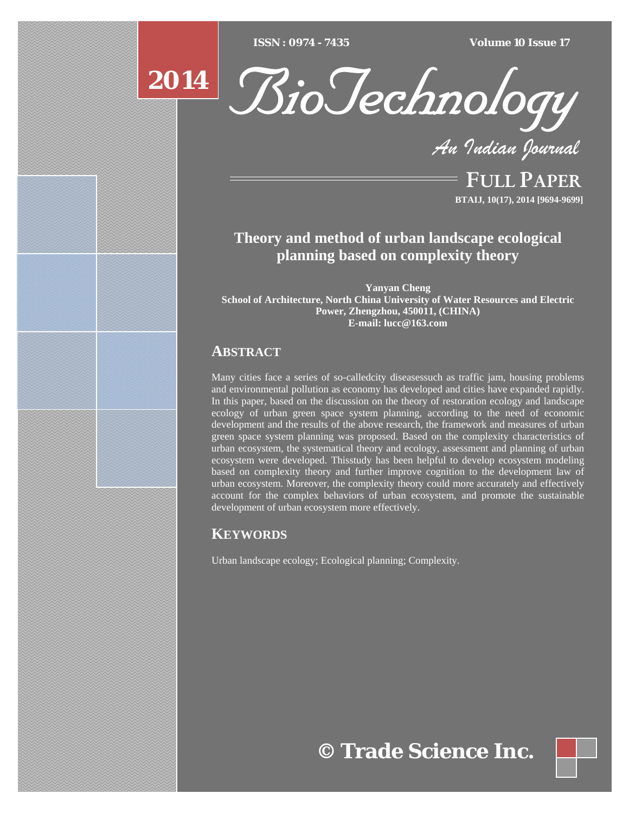$ISSN : 0974 - 7435$ 

*ISSN : 0974 - 7435 Volume 10 Issue 17*





*An Indian Journal*

FULL PAPER **BTAIJ, 10(17), 2014 [9694-9699]**

# **Theory and method of urban landscape ecological planning based on complexity theory**

**Yanyan Cheng School of Architecture, North China University of Water Resources and Electric Power, Zhengzhou, 450011, (CHINA) E-mail: lucc@163.com**

# **ABSTRACT**

Many cities face a series of so-calledcity diseasessuch as traffic jam, housing problems and environmental pollution as economy has developed and cities have expanded rapidly. In this paper, based on the discussion on the theory of restoration ecology and landscape ecology of urban green space system planning, according to the need of economic development and the results of the above research, the framework and measures of urban green space system planning was proposed. Based on the complexity characteristics of urban ecosystem, the systematical theory and ecology, assessment and planning of urban ecosystem were developed. Thisstudy has been helpful to develop ecosystem modeling based on complexity theory and further improve cognition to the development law of urban ecosystem. Moreover, the complexity theory could more accurately and effectively account for the complex behaviors of urban ecosystem, and promote the sustainable development of urban ecosystem more effectively.

# **KEYWORDS**

Urban landscape ecology; Ecological planning; Complexity.

**© Trade Science Inc.**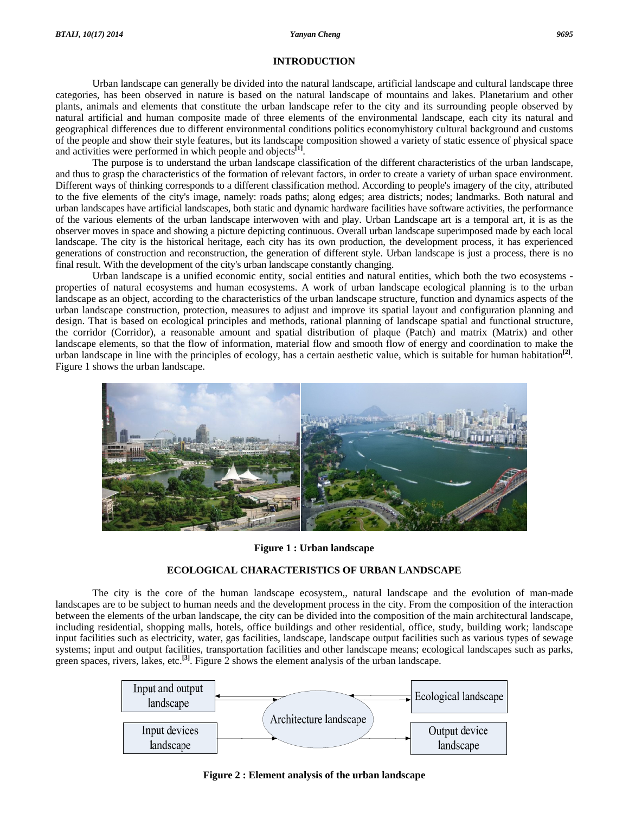# **INTRODUCTION**

 Urban landscape can generally be divided into the natural landscape, artificial landscape and cultural landscape three categories, has been observed in nature is based on the natural landscape of mountains and lakes. Planetarium and other plants, animals and elements that constitute the urban landscape refer to the city and its surrounding people observed by natural artificial and human composite made of three elements of the environmental landscape, each city its natural and geographical differences due to different environmental conditions politics economyhistory cultural background and customs of the people and show their style features, but its landscape composition showed a variety of static essence of physical space and activities were performed in which people and objects**[1]**.

 The purpose is to understand the urban landscape classification of the different characteristics of the urban landscape, and thus to grasp the characteristics of the formation of relevant factors, in order to create a variety of urban space environment. Different ways of thinking corresponds to a different classification method. According to people's imagery of the city, attributed to the five elements of the city's image, namely: roads paths; along edges; area districts; nodes; landmarks. Both natural and urban landscapes have artificial landscapes, both static and dynamic hardware facilities have software activities, the performance of the various elements of the urban landscape interwoven with and play. Urban Landscape art is a temporal art, it is as the observer moves in space and showing a picture depicting continuous. Overall urban landscape superimposed made by each local landscape. The city is the historical heritage, each city has its own production, the development process, it has experienced generations of construction and reconstruction, the generation of different style. Urban landscape is just a process, there is no final result. With the development of the city's urban landscape constantly changing.

 Urban landscape is a unified economic entity, social entities and natural entities, which both the two ecosystems properties of natural ecosystems and human ecosystems. A work of urban landscape ecological planning is to the urban landscape as an object, according to the characteristics of the urban landscape structure, function and dynamics aspects of the urban landscape construction, protection, measures to adjust and improve its spatial layout and configuration planning and design. That is based on ecological principles and methods, rational planning of landscape spatial and functional structure, the corridor (Corridor), a reasonable amount and spatial distribution of plaque (Patch) and matrix (Matrix) and other landscape elements, so that the flow of information, material flow and smooth flow of energy and coordination to make the urban landscape in line with the principles of ecology, has a certain aesthetic value, which is suitable for human habitation**[2]**. Figure 1 shows the urban landscape.



## **Figure 1 : Urban landscape**

# **ECOLOGICAL CHARACTERISTICS OF URBAN LANDSCAPE**

 The city is the core of the human landscape ecosystem,, natural landscape and the evolution of man-made landscapes are to be subject to human needs and the development process in the city. From the composition of the interaction between the elements of the urban landscape, the city can be divided into the composition of the main architectural landscape, including residential, shopping malls, hotels, office buildings and other residential, office, study, building work; landscape input facilities such as electricity, water, gas facilities, landscape, landscape output facilities such as various types of sewage systems; input and output facilities, transportation facilities and other landscape means; ecological landscapes such as parks, green spaces, rivers, lakes, etc.**[3]**. Figure 2 shows the element analysis of the urban landscape.



**Figure 2 : Element analysis of the urban landscape**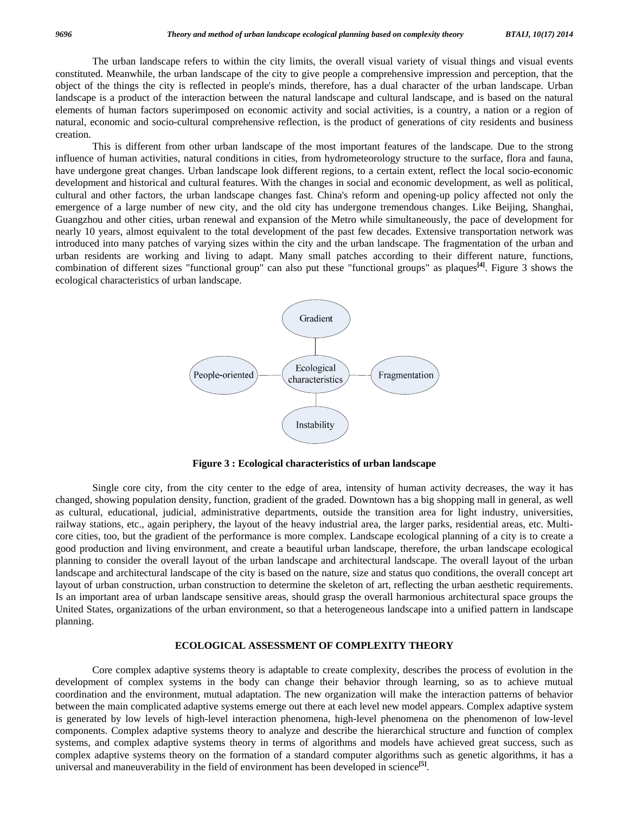The urban landscape refers to within the city limits, the overall visual variety of visual things and visual events constituted. Meanwhile, the urban landscape of the city to give people a comprehensive impression and perception, that the object of the things the city is reflected in people's minds, therefore, has a dual character of the urban landscape. Urban landscape is a product of the interaction between the natural landscape and cultural landscape, and is based on the natural elements of human factors superimposed on economic activity and social activities, is a country, a nation or a region of natural, economic and socio-cultural comprehensive reflection, is the product of generations of city residents and business creation.

 This is different from other urban landscape of the most important features of the landscape. Due to the strong influence of human activities, natural conditions in cities, from hydrometeorology structure to the surface, flora and fauna, have undergone great changes. Urban landscape look different regions, to a certain extent, reflect the local socio-economic development and historical and cultural features. With the changes in social and economic development, as well as political, cultural and other factors, the urban landscape changes fast. China's reform and opening-up policy affected not only the emergence of a large number of new city, and the old city has undergone tremendous changes. Like Beijing, Shanghai, Guangzhou and other cities, urban renewal and expansion of the Metro while simultaneously, the pace of development for nearly 10 years, almost equivalent to the total development of the past few decades. Extensive transportation network was introduced into many patches of varying sizes within the city and the urban landscape. The fragmentation of the urban and urban residents are working and living to adapt. Many small patches according to their different nature, functions, combination of different sizes "functional group" can also put these "functional groups" as plaques**[4]**. Figure 3 shows the ecological characteristics of urban landscape.



**Figure 3 : Ecological characteristics of urban landscape** 

 Single core city, from the city center to the edge of area, intensity of human activity decreases, the way it has changed, showing population density, function, gradient of the graded. Downtown has a big shopping mall in general, as well as cultural, educational, judicial, administrative departments, outside the transition area for light industry, universities, railway stations, etc., again periphery, the layout of the heavy industrial area, the larger parks, residential areas, etc. Multicore cities, too, but the gradient of the performance is more complex. Landscape ecological planning of a city is to create a good production and living environment, and create a beautiful urban landscape, therefore, the urban landscape ecological planning to consider the overall layout of the urban landscape and architectural landscape. The overall layout of the urban landscape and architectural landscape of the city is based on the nature, size and status quo conditions, the overall concept art layout of urban construction, urban construction to determine the skeleton of art, reflecting the urban aesthetic requirements. Is an important area of urban landscape sensitive areas, should grasp the overall harmonious architectural space groups the United States, organizations of the urban environment, so that a heterogeneous landscape into a unified pattern in landscape planning.

## **ECOLOGICAL ASSESSMENT OF COMPLEXITY THEORY**

 Core complex adaptive systems theory is adaptable to create complexity, describes the process of evolution in the development of complex systems in the body can change their behavior through learning, so as to achieve mutual coordination and the environment, mutual adaptation. The new organization will make the interaction patterns of behavior between the main complicated adaptive systems emerge out there at each level new model appears. Complex adaptive system is generated by low levels of high-level interaction phenomena, high-level phenomena on the phenomenon of low-level components. Complex adaptive systems theory to analyze and describe the hierarchical structure and function of complex systems, and complex adaptive systems theory in terms of algorithms and models have achieved great success, such as complex adaptive systems theory on the formation of a standard computer algorithms such as genetic algorithms, it has a universal and maneuverability in the field of environment has been developed in science**[5]**.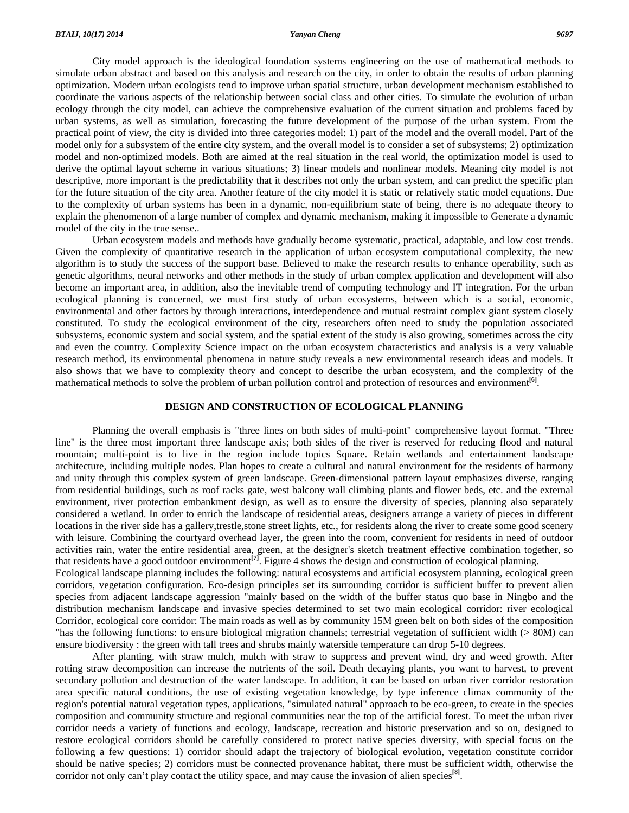City model approach is the ideological foundation systems engineering on the use of mathematical methods to simulate urban abstract and based on this analysis and research on the city, in order to obtain the results of urban planning optimization. Modern urban ecologists tend to improve urban spatial structure, urban development mechanism established to coordinate the various aspects of the relationship between social class and other cities. To simulate the evolution of urban ecology through the city model, can achieve the comprehensive evaluation of the current situation and problems faced by urban systems, as well as simulation, forecasting the future development of the purpose of the urban system. From the practical point of view, the city is divided into three categories model: 1) part of the model and the overall model. Part of the model only for a subsystem of the entire city system, and the overall model is to consider a set of subsystems; 2) optimization model and non-optimized models. Both are aimed at the real situation in the real world, the optimization model is used to derive the optimal layout scheme in various situations; 3) linear models and nonlinear models. Meaning city model is not descriptive, more important is the predictability that it describes not only the urban system, and can predict the specific plan for the future situation of the city area. Another feature of the city model it is static or relatively static model equations. Due to the complexity of urban systems has been in a dynamic, non-equilibrium state of being, there is no adequate theory to explain the phenomenon of a large number of complex and dynamic mechanism, making it impossible to Generate a dynamic model of the city in the true sense..

 Urban ecosystem models and methods have gradually become systematic, practical, adaptable, and low cost trends. Given the complexity of quantitative research in the application of urban ecosystem computational complexity, the new algorithm is to study the success of the support base. Believed to make the research results to enhance operability, such as genetic algorithms, neural networks and other methods in the study of urban complex application and development will also become an important area, in addition, also the inevitable trend of computing technology and IT integration. For the urban ecological planning is concerned, we must first study of urban ecosystems, between which is a social, economic, environmental and other factors by through interactions, interdependence and mutual restraint complex giant system closely constituted. To study the ecological environment of the city, researchers often need to study the population associated subsystems, economic system and social system, and the spatial extent of the study is also growing, sometimes across the city and even the country. Complexity Science impact on the urban ecosystem characteristics and analysis is a very valuable research method, its environmental phenomena in nature study reveals a new environmental research ideas and models. It also shows that we have to complexity theory and concept to describe the urban ecosystem, and the complexity of the mathematical methods to solve the problem of urban pollution control and protection of resources and environment**[6]**.

## **DESIGN AND CONSTRUCTION OF ECOLOGICAL PLANNING**

 Planning the overall emphasis is "three lines on both sides of multi-point" comprehensive layout format. "Three line" is the three most important three landscape axis; both sides of the river is reserved for reducing flood and natural mountain; multi-point is to live in the region include topics Square. Retain wetlands and entertainment landscape architecture, including multiple nodes. Plan hopes to create a cultural and natural environment for the residents of harmony and unity through this complex system of green landscape. Green-dimensional pattern layout emphasizes diverse, ranging from residential buildings, such as roof racks gate, west balcony wall climbing plants and flower beds, etc. and the external environment, river protection embankment design, as well as to ensure the diversity of species, planning also separately considered a wetland. In order to enrich the landscape of residential areas, designers arrange a variety of pieces in different locations in the river side has a gallery,trestle,stone street lights, etc., for residents along the river to create some good scenery with leisure. Combining the courtyard overhead layer, the green into the room, convenient for residents in need of outdoor activities rain, water the entire residential area, green, at the designer's sketch treatment effective combination together, so that residents have a good outdoor environment**[7]**. Figure 4 shows the design and construction of ecological planning. Ecological landscape planning includes the following: natural ecosystems and artificial ecosystem planning, ecological green corridors, vegetation configuration. Eco-design principles set its surrounding corridor is sufficient buffer to prevent alien

species from adjacent landscape aggression "mainly based on the width of the buffer status quo base in Ningbo and the distribution mechanism landscape and invasive species determined to set two main ecological corridor: river ecological Corridor, ecological core corridor: The main roads as well as by community 15M green belt on both sides of the composition "has the following functions: to ensure biological migration channels; terrestrial vegetation of sufficient width (> 80M) can ensure biodiversity : the green with tall trees and shrubs mainly waterside temperature can drop 5-10 degrees.

 After planting, with straw mulch, mulch with straw to suppress and prevent wind, dry and weed growth. After rotting straw decomposition can increase the nutrients of the soil. Death decaying plants, you want to harvest, to prevent secondary pollution and destruction of the water landscape. In addition, it can be based on urban river corridor restoration area specific natural conditions, the use of existing vegetation knowledge, by type inference climax community of the region's potential natural vegetation types, applications, "simulated natural" approach to be eco-green, to create in the species composition and community structure and regional communities near the top of the artificial forest. To meet the urban river corridor needs a variety of functions and ecology, landscape, recreation and historic preservation and so on, designed to restore ecological corridors should be carefully considered to protect native species diversity, with special focus on the following a few questions: 1) corridor should adapt the trajectory of biological evolution, vegetation constitute corridor should be native species; 2) corridors must be connected provenance habitat, there must be sufficient width, otherwise the corridor not only can't play contact the utility space, and may cause the invasion of alien species**[8]**.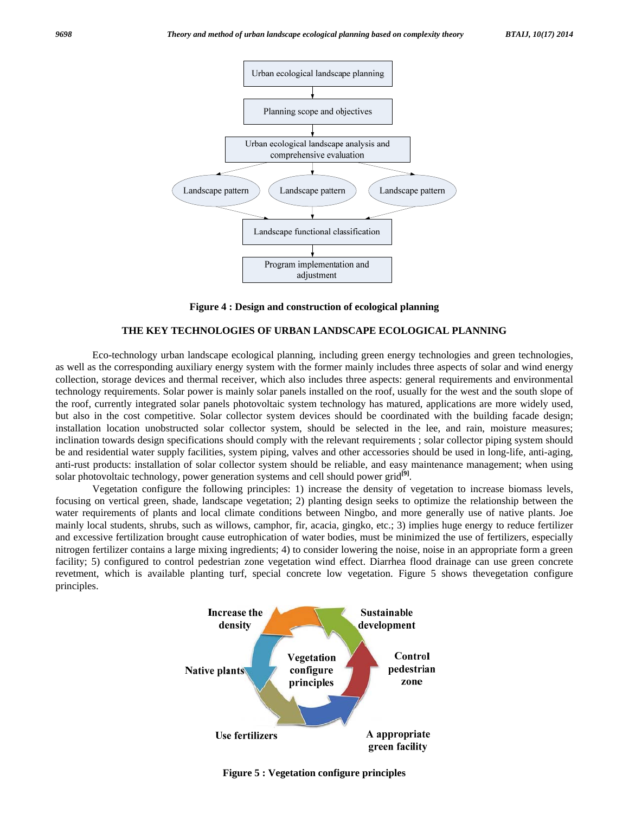

**Figure 4 : Design and construction of ecological planning** 

#### **THE KEY TECHNOLOGIES OF URBAN LANDSCAPE ECOLOGICAL PLANNING**

 Eco-technology urban landscape ecological planning, including green energy technologies and green technologies, as well as the corresponding auxiliary energy system with the former mainly includes three aspects of solar and wind energy collection, storage devices and thermal receiver, which also includes three aspects: general requirements and environmental technology requirements. Solar power is mainly solar panels installed on the roof, usually for the west and the south slope of the roof, currently integrated solar panels photovoltaic system technology has matured, applications are more widely used, but also in the cost competitive. Solar collector system devices should be coordinated with the building facade design; installation location unobstructed solar collector system, should be selected in the lee, and rain, moisture measures; inclination towards design specifications should comply with the relevant requirements ; solar collector piping system should be and residential water supply facilities, system piping, valves and other accessories should be used in long-life, anti-aging, anti-rust products: installation of solar collector system should be reliable, and easy maintenance management; when using solar photovoltaic technology, power generation systems and cell should power grid<sup>[9]</sup>.

 Vegetation configure the following principles: 1) increase the density of vegetation to increase biomass levels, focusing on vertical green, shade, landscape vegetation; 2) planting design seeks to optimize the relationship between the water requirements of plants and local climate conditions between Ningbo, and more generally use of native plants. Joe mainly local students, shrubs, such as willows, camphor, fir, acacia, gingko, etc.; 3) implies huge energy to reduce fertilizer and excessive fertilization brought cause eutrophication of water bodies, must be minimized the use of fertilizers, especially nitrogen fertilizer contains a large mixing ingredients; 4) to consider lowering the noise, noise in an appropriate form a green facility; 5) configured to control pedestrian zone vegetation wind effect. Diarrhea flood drainage can use green concrete revetment, which is available planting turf, special concrete low vegetation. Figure 5 shows thevegetation configure principles.



**Figure 5 : Vegetation configure principles**